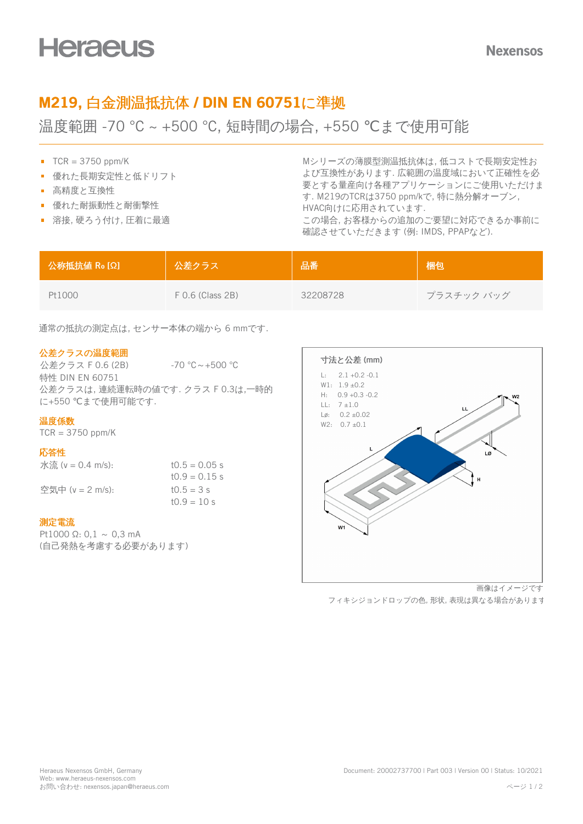# M219, 白金測温抵抗体 / DIN EN 60751に準拠

温度範囲 -70 °C ~ +500 °C, 短時間の場合, +550 ℃まで使用可能

- $TCR = 3750$  ppm/K
- 優れた長期安定性と低ドリフト
- 高精度と互換性
- 優れた耐振動性と耐衝撃性
- 溶接, 硬ろう付け, 圧着に最適

Mシリーズの薄膜型測温抵抗体は, 低コストで長期安定性お よび互換性があります. 広範囲の温度域において正確性を必 要とする量産向け各種アプリケーションにご使用いただけま す. M219のTCRは3750 ppm/kで, 特に熱分解オーブン, HVAC向けに応用されています. この場合, お客様からの追加のご要望に対応できるか事前に 確認させていただきます (例: IMDS, PPAPなど).

| 公称抵抗值 Ro [Ω] | 公差クラス              | 品番       | 梱包         |
|--------------|--------------------|----------|------------|
| Pt1000       | $F$ 0.6 (Class 2B) | 32208728 | プラスチック バッグ |

通常の抵抗の測定点は, センサー本体の端から 6 mmです.

## 公差クラスの温度範囲

公差クラス F 0.6 (2B) -70 ℃~+500 ℃ 特性 DIN EN 60751 公差クラスは, 連続運転時の値です. クラス F 0.3は,一時的 に+550 ℃まで使用可能です.

 $t0.9 = 10 s$ 

#### 温度係数

 $TCR = 3750$  ppm/K

#### 応答性

| 水流 ( $v = 0.4$ m/s): | $t0.5 = 0.05$ s |
|----------------------|-----------------|
|                      | $10.9 = 0.15$ s |
| 空気中 (v = 2 m/s):     | $t0.5 = 3 s$    |

#### 測定電流

Pt1000  $Q: 0.1 \sim 0.3$  mA (自己発熱を考慮する必要があります)



フィキシジョンドロップの色, 形状, 表現は異なる場合があります